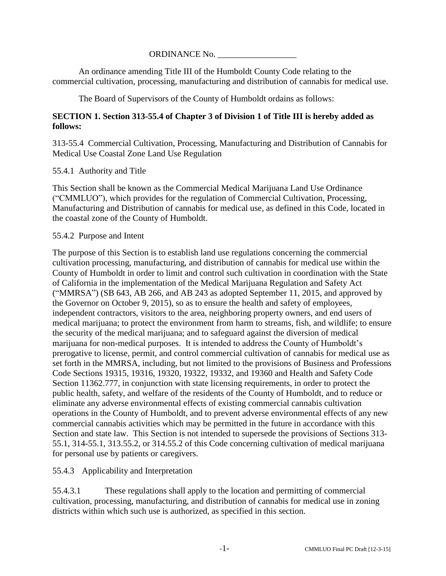#### ORDINANCE No. \_\_\_\_\_\_\_\_\_\_\_\_\_\_\_\_\_\_

An ordinance amending Title III of the Humboldt County Code relating to the commercial cultivation, processing, manufacturing and distribution of cannabis for medical use.

The Board of Supervisors of the County of Humboldt ordains as follows:

# **SECTION 1. Section 313-55.4 of Chapter 3 of Division 1 of Title III is hereby added as follows:**

313-55.4 Commercial Cultivation, Processing, Manufacturing and Distribution of Cannabis for Medical Use Coastal Zone Land Use Regulation

#### 55.4.1 Authority and Title

This Section shall be known as the Commercial Medical Marijuana Land Use Ordinance ("CMMLUO"), which provides for the regulation of Commercial Cultivation, Processing, Manufacturing and Distribution of cannabis for medical use, as defined in this Code, located in the coastal zone of the County of Humboldt.

#### 55.4.2 Purpose and Intent

The purpose of this Section is to establish land use regulations concerning the commercial cultivation processing, manufacturing, and distribution of cannabis for medical use within the County of Humboldt in order to limit and control such cultivation in coordination with the State of California in the implementation of the Medical Marijuana Regulation and Safety Act ("MMRSA") (SB 643, AB 266, and AB 243 as adopted September 11, 2015, and approved by the Governor on October 9, 2015), so as to ensure the health and safety of employees, independent contractors, visitors to the area, neighboring property owners, and end users of medical marijuana; to protect the environment from harm to streams, fish, and wildlife; to ensure the security of the medical marijuana; and to safeguard against the diversion of medical marijuana for non-medical purposes. It is intended to address the County of Humboldt's prerogative to license, permit, and control commercial cultivation of cannabis for medical use as set forth in the MMRSA, including, but not limited to the provisions of Business and Professions Code Sections 19315, 19316, 19320, 19322, 19332, and 19360 and Health and Safety Code Section 11362.777, in conjunction with state licensing requirements, in order to protect the public health, safety, and welfare of the residents of the County of Humboldt, and to reduce or eliminate any adverse environmental effects of existing commercial cannabis cultivation operations in the County of Humboldt, and to prevent adverse environmental effects of any new commercial cannabis activities which may be permitted in the future in accordance with this Section and state law. This Section is not intended to supersede the provisions of Sections 313- 55.1, 314-55.1, 313.55.2, or 314.55.2 of this Code concerning cultivation of medical marijuana for personal use by patients or caregivers.

# 55.4.3 Applicability and Interpretation

55.4.3.1 These regulations shall apply to the location and permitting of commercial cultivation, processing, manufacturing, and distribution of cannabis for medical use in zoning districts within which such use is authorized, as specified in this section.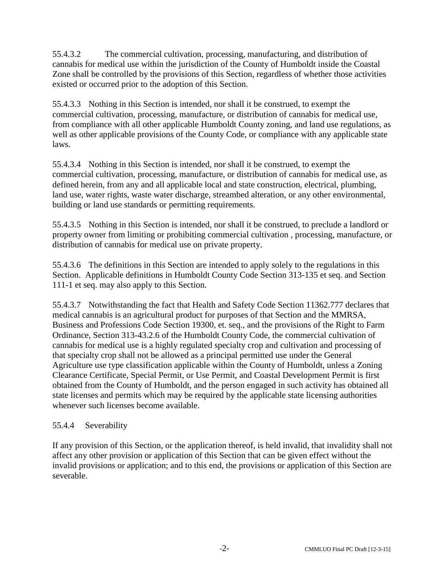55.4.3.2 The commercial cultivation, processing, manufacturing, and distribution of cannabis for medical use within the jurisdiction of the County of Humboldt inside the Coastal Zone shall be controlled by the provisions of this Section, regardless of whether those activities existed or occurred prior to the adoption of this Section.

55.4.3.3 Nothing in this Section is intended, nor shall it be construed, to exempt the commercial cultivation, processing, manufacture, or distribution of cannabis for medical use, from compliance with all other applicable Humboldt County zoning, and land use regulations, as well as other applicable provisions of the County Code, or compliance with any applicable state laws.

55.4.3.4 Nothing in this Section is intended, nor shall it be construed, to exempt the commercial cultivation, processing, manufacture, or distribution of cannabis for medical use, as defined herein, from any and all applicable local and state construction, electrical, plumbing, land use, water rights, waste water discharge, streambed alteration, or any other environmental, building or land use standards or permitting requirements.

55.4.3.5 Nothing in this Section is intended, nor shall it be construed, to preclude a landlord or property owner from limiting or prohibiting commercial cultivation , processing, manufacture, or distribution of cannabis for medical use on private property.

55.4.3.6 The definitions in this Section are intended to apply solely to the regulations in this Section. Applicable definitions in Humboldt County Code Section 313-135 et seq. and Section 111-1 et seq. may also apply to this Section.

55.4.3.7 Notwithstanding the fact that Health and Safety Code Section 11362.777 declares that medical cannabis is an agricultural product for purposes of that Section and the MMRSA, Business and Professions Code Section 19300, et. seq., and the provisions of the Right to Farm Ordinance, Section 313-43.2.6 of the Humboldt County Code, the commercial cultivation of cannabis for medical use is a highly regulated specialty crop and cultivation and processing of that specialty crop shall not be allowed as a principal permitted use under the General Agriculture use type classification applicable within the County of Humboldt, unless a Zoning Clearance Certificate, Special Permit, or Use Permit, and Coastal Development Permit is first obtained from the County of Humboldt, and the person engaged in such activity has obtained all state licenses and permits which may be required by the applicable state licensing authorities whenever such licenses become available.

# 55.4.4 Severability

If any provision of this Section, or the application thereof, is held invalid, that invalidity shall not affect any other provision or application of this Section that can be given effect without the invalid provisions or application; and to this end, the provisions or application of this Section are severable.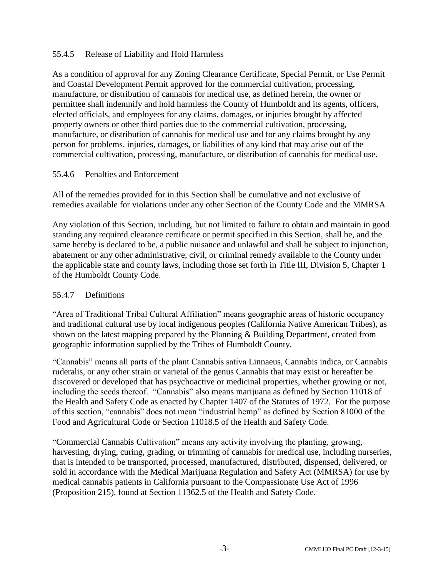# 55.4.5 Release of Liability and Hold Harmless

As a condition of approval for any Zoning Clearance Certificate, Special Permit, or Use Permit and Coastal Development Permit approved for the commercial cultivation, processing, manufacture, or distribution of cannabis for medical use, as defined herein, the owner or permittee shall indemnify and hold harmless the County of Humboldt and its agents, officers, elected officials, and employees for any claims, damages, or injuries brought by affected property owners or other third parties due to the commercial cultivation, processing, manufacture, or distribution of cannabis for medical use and for any claims brought by any person for problems, injuries, damages, or liabilities of any kind that may arise out of the commercial cultivation, processing, manufacture, or distribution of cannabis for medical use.

# 55.4.6 Penalties and Enforcement

All of the remedies provided for in this Section shall be cumulative and not exclusive of remedies available for violations under any other Section of the County Code and the MMRSA

Any violation of this Section, including, but not limited to failure to obtain and maintain in good standing any required clearance certificate or permit specified in this Section, shall be, and the same hereby is declared to be, a public nuisance and unlawful and shall be subject to injunction, abatement or any other administrative, civil, or criminal remedy available to the County under the applicable state and county laws, including those set forth in Title III, Division 5, Chapter 1 of the Humboldt County Code.

# 55.4.7 Definitions

"Area of Traditional Tribal Cultural Affiliation" means geographic areas of historic occupancy and traditional cultural use by local indigenous peoples (California Native American Tribes), as shown on the latest mapping prepared by the Planning & Building Department, created from geographic information supplied by the Tribes of Humboldt County.

"Cannabis" means all parts of the plant Cannabis sativa Linnaeus, Cannabis indica, or Cannabis ruderalis, or any other strain or varietal of the genus Cannabis that may exist or hereafter be discovered or developed that has psychoactive or medicinal properties, whether growing or not, including the seeds thereof. "Cannabis" also means marijuana as defined by Section 11018 of the Health and Safety Code as enacted by Chapter 1407 of the Statutes of 1972. For the purpose of this section, "cannabis" does not mean "industrial hemp" as defined by Section 81000 of the Food and Agricultural Code or Section 11018.5 of the Health and Safety Code.

"Commercial Cannabis Cultivation" means any activity involving the planting, growing, harvesting, drying, curing, grading, or trimming of cannabis for medical use, including nurseries, that is intended to be transported, processed, manufactured, distributed, dispensed, delivered, or sold in accordance with the Medical Marijuana Regulation and Safety Act (MMRSA) for use by medical cannabis patients in California pursuant to the Compassionate Use Act of 1996 (Proposition 215), found at Section 11362.5 of the Health and Safety Code.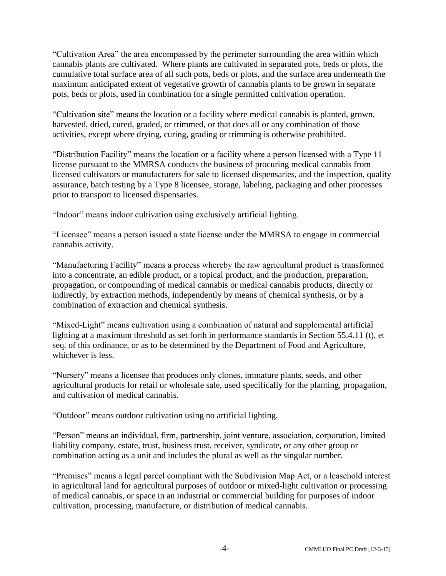"Cultivation Area" the area encompassed by the perimeter surrounding the area within which cannabis plants are cultivated. Where plants are cultivated in separated pots, beds or plots, the cumulative total surface area of all such pots, beds or plots, and the surface area underneath the maximum anticipated extent of vegetative growth of cannabis plants to be grown in separate pots, beds or plots, used in combination for a single permitted cultivation operation.

"Cultivation site" means the location or a facility where medical cannabis is planted, grown, harvested, dried, cured, graded, or trimmed, or that does all or any combination of those activities, except where drying, curing, grading or trimming is otherwise prohibited.

"Distribution Facility" means the location or a facility where a person licensed with a Type 11 license pursuant to the MMRSA conducts the business of procuring medical cannabis from licensed cultivators or manufacturers for sale to licensed dispensaries, and the inspection, quality assurance, batch testing by a Type 8 licensee, storage, labeling, packaging and other processes prior to transport to licensed dispensaries.

"Indoor" means indoor cultivation using exclusively artificial lighting.

"Licensee" means a person issued a state license under the MMRSA to engage in commercial cannabis activity.

"Manufacturing Facility" means a process whereby the raw agricultural product is transformed into a concentrate, an edible product, or a topical product, and the production, preparation, propagation, or compounding of medical cannabis or medical cannabis products, directly or indirectly, by extraction methods, independently by means of chemical synthesis, or by a combination of extraction and chemical synthesis.

"Mixed-Light" means cultivation using a combination of natural and supplemental artificial lighting at a maximum threshold as set forth in performance standards in Section 55.4.11 (t), et seq. of this ordinance, or as to be determined by the Department of Food and Agriculture, whichever is less.

"Nursery" means a licensee that produces only clones, immature plants, seeds, and other agricultural products for retail or wholesale sale, used specifically for the planting, propagation, and cultivation of medical cannabis.

"Outdoor" means outdoor cultivation using no artificial lighting.

"Person" means an individual, firm, partnership, joint venture, association, corporation, limited liability company, estate, trust, business trust, receiver, syndicate, or any other group or combination acting as a unit and includes the plural as well as the singular number.

"Premises" means a legal parcel compliant with the Subdivision Map Act, or a leasehold interest in agricultural land for agricultural purposes of outdoor or mixed-light cultivation or processing of medical cannabis, or space in an industrial or commercial building for purposes of indoor cultivation, processing, manufacture, or distribution of medical cannabis.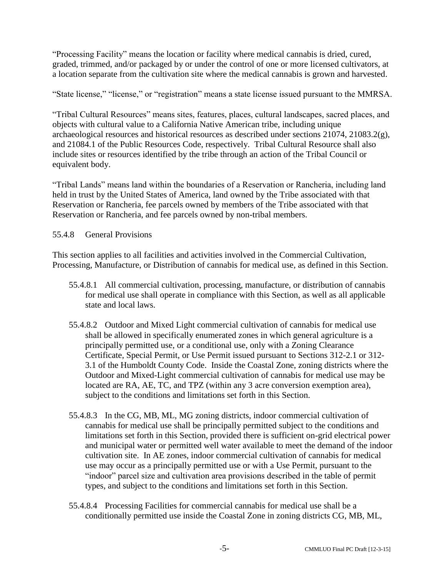"Processing Facility" means the location or facility where medical cannabis is dried, cured, graded, trimmed, and/or packaged by or under the control of one or more licensed cultivators, at a location separate from the cultivation site where the medical cannabis is grown and harvested.

"State license," "license," or "registration" means a state license issued pursuant to the MMRSA.

"Tribal Cultural Resources" means sites, features, places, cultural landscapes, sacred places, and objects with cultural value to a California Native American tribe, including unique archaeological resources and historical resources as described under sections 21074, 21083.2(g), and 21084.1 of the Public Resources Code, respectively. Tribal Cultural Resource shall also include sites or resources identified by the tribe through an action of the Tribal Council or equivalent body.

"Tribal Lands" means land within the boundaries of a Reservation or Rancheria, including land held in trust by the United States of America, land owned by the Tribe associated with that Reservation or Rancheria, fee parcels owned by members of the Tribe associated with that Reservation or Rancheria, and fee parcels owned by non-tribal members.

# 55.4.8 General Provisions

This section applies to all facilities and activities involved in the Commercial Cultivation, Processing, Manufacture, or Distribution of cannabis for medical use, as defined in this Section.

- 55.4.8.1 All commercial cultivation, processing, manufacture, or distribution of cannabis for medical use shall operate in compliance with this Section, as well as all applicable state and local laws.
- 55.4.8.2 Outdoor and Mixed Light commercial cultivation of cannabis for medical use shall be allowed in specifically enumerated zones in which general agriculture is a principally permitted use, or a conditional use, only with a Zoning Clearance Certificate, Special Permit, or Use Permit issued pursuant to Sections 312-2.1 or 312- 3.1 of the Humboldt County Code. Inside the Coastal Zone, zoning districts where the Outdoor and Mixed-Light commercial cultivation of cannabis for medical use may be located are RA, AE, TC, and TPZ (within any 3 acre conversion exemption area), subject to the conditions and limitations set forth in this Section.
- 55.4.8.3 In the CG, MB, ML, MG zoning districts, indoor commercial cultivation of cannabis for medical use shall be principally permitted subject to the conditions and limitations set forth in this Section, provided there is sufficient on-grid electrical power and municipal water or permitted well water available to meet the demand of the indoor cultivation site. In AE zones, indoor commercial cultivation of cannabis for medical use may occur as a principally permitted use or with a Use Permit, pursuant to the "indoor" parcel size and cultivation area provisions described in the table of permit types, and subject to the conditions and limitations set forth in this Section.
- 55.4.8.4 Processing Facilities for commercial cannabis for medical use shall be a conditionally permitted use inside the Coastal Zone in zoning districts CG, MB, ML,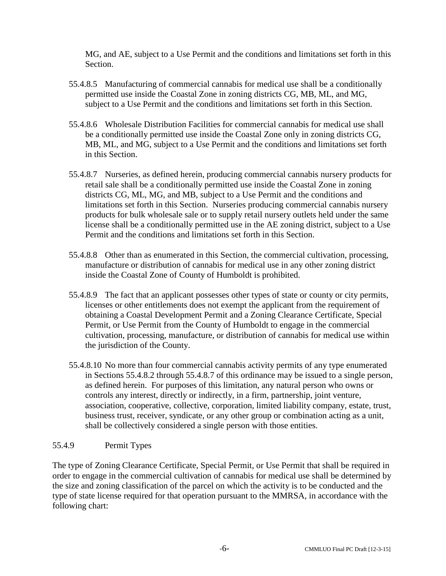MG, and AE, subject to a Use Permit and the conditions and limitations set forth in this Section.

- 55.4.8.5 Manufacturing of commercial cannabis for medical use shall be a conditionally permitted use inside the Coastal Zone in zoning districts CG, MB, ML, and MG, subject to a Use Permit and the conditions and limitations set forth in this Section.
- 55.4.8.6 Wholesale Distribution Facilities for commercial cannabis for medical use shall be a conditionally permitted use inside the Coastal Zone only in zoning districts CG, MB, ML, and MG, subject to a Use Permit and the conditions and limitations set forth in this Section.
- 55.4.8.7 Nurseries, as defined herein, producing commercial cannabis nursery products for retail sale shall be a conditionally permitted use inside the Coastal Zone in zoning districts CG, ML, MG, and MB, subject to a Use Permit and the conditions and limitations set forth in this Section. Nurseries producing commercial cannabis nursery products for bulk wholesale sale or to supply retail nursery outlets held under the same license shall be a conditionally permitted use in the AE zoning district, subject to a Use Permit and the conditions and limitations set forth in this Section.
- 55.4.8.8 Other than as enumerated in this Section, the commercial cultivation, processing, manufacture or distribution of cannabis for medical use in any other zoning district inside the Coastal Zone of County of Humboldt is prohibited.
- 55.4.8.9 The fact that an applicant possesses other types of state or county or city permits, licenses or other entitlements does not exempt the applicant from the requirement of obtaining a Coastal Development Permit and a Zoning Clearance Certificate, Special Permit, or Use Permit from the County of Humboldt to engage in the commercial cultivation, processing, manufacture, or distribution of cannabis for medical use within the jurisdiction of the County.
- 55.4.8.10 No more than four commercial cannabis activity permits of any type enumerated in Sections 55.4.8.2 through 55.4.8.7 of this ordinance may be issued to a single person, as defined herein. For purposes of this limitation, any natural person who owns or controls any interest, directly or indirectly, in a firm, partnership, joint venture, association, cooperative, collective, corporation, limited liability company, estate, trust, business trust, receiver, syndicate, or any other group or combination acting as a unit, shall be collectively considered a single person with those entities.

# 55.4.9 Permit Types

The type of Zoning Clearance Certificate, Special Permit, or Use Permit that shall be required in order to engage in the commercial cultivation of cannabis for medical use shall be determined by the size and zoning classification of the parcel on which the activity is to be conducted and the type of state license required for that operation pursuant to the MMRSA, in accordance with the following chart: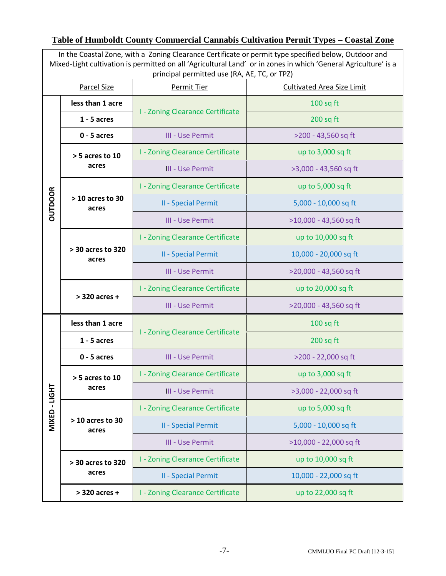# **Table of Humboldt County Commercial Cannabis Cultivation Permit Types – Coastal Zone**

| In the Coastal Zone, with a Zoning Clearance Certificate or permit type specified below, Outdoor and<br>Mixed-Light cultivation is permitted on all 'Agricultural Land' or in zones in which 'General Agriculture' is a<br>principal permitted use (RA, AE, TC, or TPZ) |                             |                                         |                                   |  |
|-------------------------------------------------------------------------------------------------------------------------------------------------------------------------------------------------------------------------------------------------------------------------|-----------------------------|-----------------------------------------|-----------------------------------|--|
|                                                                                                                                                                                                                                                                         | <b>Parcel Size</b>          | <b>Permit Tier</b>                      | <b>Cultivated Area Size Limit</b> |  |
|                                                                                                                                                                                                                                                                         | less than 1 acre            | <b>I - Zoning Clearance Certificate</b> | $100$ sq ft                       |  |
|                                                                                                                                                                                                                                                                         | $1 - 5$ acres               |                                         | $200$ sq ft                       |  |
|                                                                                                                                                                                                                                                                         | $0 - 5$ acres               | III - Use Permit                        | >200 - 43,560 sq ft               |  |
|                                                                                                                                                                                                                                                                         | > 5 acres to 10<br>acres    | <b>I - Zoning Clearance Certificate</b> | up to 3,000 sq ft                 |  |
|                                                                                                                                                                                                                                                                         |                             | <b>III - Use Permit</b>                 | >3,000 - 43,560 sq ft             |  |
|                                                                                                                                                                                                                                                                         | $>10$ acres to 30<br>acres  | <b>I - Zoning Clearance Certificate</b> | up to 5,000 sq ft                 |  |
| <b>OUTDOOR</b>                                                                                                                                                                                                                                                          |                             | <b>II - Special Permit</b>              | 5,000 - 10,000 sq ft              |  |
|                                                                                                                                                                                                                                                                         |                             | III - Use Permit                        | >10,000 - 43,560 sq ft            |  |
|                                                                                                                                                                                                                                                                         | > 30 acres to 320<br>acres  | <b>I - Zoning Clearance Certificate</b> | up to 10,000 sq ft                |  |
|                                                                                                                                                                                                                                                                         |                             | <b>II - Special Permit</b>              | 10,000 - 20,000 sq ft             |  |
|                                                                                                                                                                                                                                                                         |                             | III - Use Permit                        | >20,000 - 43,560 sq ft            |  |
|                                                                                                                                                                                                                                                                         | $>$ 320 acres +             | <b>I - Zoning Clearance Certificate</b> | up to 20,000 sq ft                |  |
|                                                                                                                                                                                                                                                                         |                             | III - Use Permit                        | >20,000 - 43,560 sq ft            |  |
|                                                                                                                                                                                                                                                                         | less than 1 acre            | <b>I - Zoning Clearance Certificate</b> | $100$ sq ft                       |  |
|                                                                                                                                                                                                                                                                         | $1 - 5$ acres               |                                         | $200$ sq ft                       |  |
|                                                                                                                                                                                                                                                                         | $0 - 5$ acres               | III - Use Permit                        | >200 - 22,000 sq ft               |  |
|                                                                                                                                                                                                                                                                         | $>$ 5 acres to 10<br>acres  | <b>I - Zoning Clearance Certificate</b> | up to 3,000 sq ft                 |  |
|                                                                                                                                                                                                                                                                         |                             | <b>III - Use Permit</b>                 | >3,000 - 22,000 sq ft             |  |
| MIXED-LIGHT                                                                                                                                                                                                                                                             | $>$ 10 acres to 30<br>acres | <b>I - Zoning Clearance Certificate</b> | up to 5,000 sq ft                 |  |
|                                                                                                                                                                                                                                                                         |                             | <b>II - Special Permit</b>              | 5,000 - 10,000 sq ft              |  |
|                                                                                                                                                                                                                                                                         |                             | III - Use Permit                        | >10,000 - 22,000 sq ft            |  |
|                                                                                                                                                                                                                                                                         | > 30 acres to 320<br>acres  | <b>I - Zoning Clearance Certificate</b> | up to 10,000 sq ft                |  |
|                                                                                                                                                                                                                                                                         |                             | <b>II - Special Permit</b>              | 10,000 - 22,000 sq ft             |  |
|                                                                                                                                                                                                                                                                         | > 320 acres +               | <b>I - Zoning Clearance Certificate</b> | up to 22,000 sq ft                |  |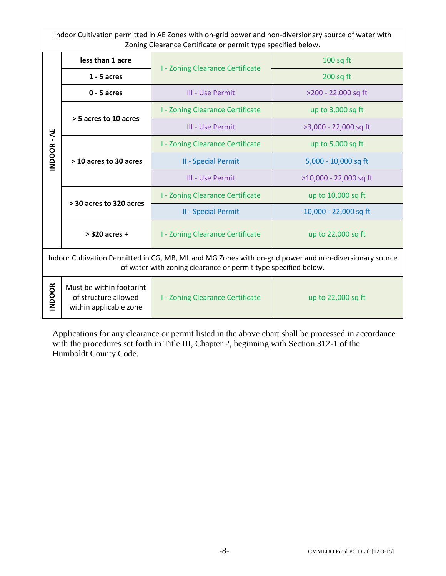Indoor Cultivation permitted in AE Zones with on-grid power and non-diversionary source of water with Zoning Clearance Certificate or permit type specified below.

| <b>INDOOR-AE</b>                                                                                                                                                         | less than 1 acre                                                           |                                         | $100$ sq ft            |  |
|--------------------------------------------------------------------------------------------------------------------------------------------------------------------------|----------------------------------------------------------------------------|-----------------------------------------|------------------------|--|
|                                                                                                                                                                          | $1 - 5$ acres                                                              | <b>I - Zoning Clearance Certificate</b> | $200$ sq ft            |  |
|                                                                                                                                                                          | $0 - 5$ acres                                                              | III - Use Permit                        | >200 - 22,000 sq ft    |  |
|                                                                                                                                                                          | > 5 acres to 10 acres                                                      | <b>I - Zoning Clearance Certificate</b> | up to 3,000 sq ft      |  |
|                                                                                                                                                                          |                                                                            | III - Use Permit                        | >3,000 - 22,000 sq ft  |  |
|                                                                                                                                                                          | > 10 acres to 30 acres                                                     | <b>I - Zoning Clearance Certificate</b> | up to 5,000 sq ft      |  |
|                                                                                                                                                                          |                                                                            | <b>II - Special Permit</b>              | 5,000 - 10,000 sq ft   |  |
|                                                                                                                                                                          |                                                                            | III - Use Permit                        | >10,000 - 22,000 sq ft |  |
|                                                                                                                                                                          | > 30 acres to 320 acres                                                    | <b>I - Zoning Clearance Certificate</b> | up to 10,000 sq ft     |  |
|                                                                                                                                                                          |                                                                            | II - Special Permit                     | 10,000 - 22,000 sq ft  |  |
|                                                                                                                                                                          | $>$ 320 acres +                                                            | <b>I - Zoning Clearance Certificate</b> | up to 22,000 sq ft     |  |
| Indoor Cultivation Permitted in CG, MB, ML and MG Zones with on-grid power and non-diversionary source<br>of water with zoning clearance or permit type specified below. |                                                                            |                                         |                        |  |
| <b>INDOOR</b>                                                                                                                                                            | Must be within footprint<br>of structure allowed<br>within applicable zone | I - Zoning Clearance Certificate        | up to 22,000 sq ft     |  |

Applications for any clearance or permit listed in the above chart shall be processed in accordance with the procedures set forth in Title III, Chapter 2, beginning with Section 312-1 of the Humboldt County Code.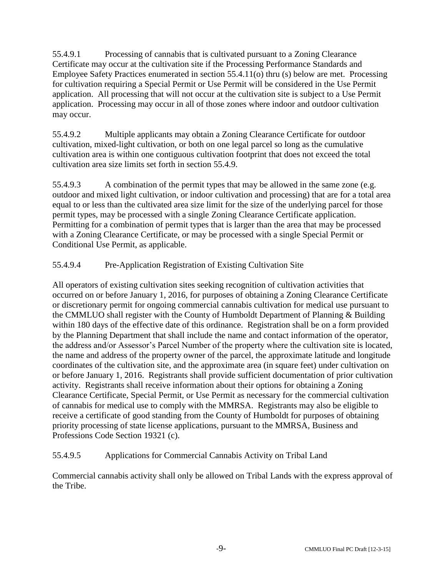55.4.9.1 Processing of cannabis that is cultivated pursuant to a Zoning Clearance Certificate may occur at the cultivation site if the Processing Performance Standards and Employee Safety Practices enumerated in section 55.4.11(o) thru (s) below are met. Processing for cultivation requiring a Special Permit or Use Permit will be considered in the Use Permit application. All processing that will not occur at the cultivation site is subject to a Use Permit application. Processing may occur in all of those zones where indoor and outdoor cultivation may occur.

55.4.9.2 Multiple applicants may obtain a Zoning Clearance Certificate for outdoor cultivation, mixed-light cultivation, or both on one legal parcel so long as the cumulative cultivation area is within one contiguous cultivation footprint that does not exceed the total cultivation area size limits set forth in section 55.4.9.

55.4.9.3 A combination of the permit types that may be allowed in the same zone (e.g. outdoor and mixed light cultivation, or indoor cultivation and processing) that are for a total area equal to or less than the cultivated area size limit for the size of the underlying parcel for those permit types, may be processed with a single Zoning Clearance Certificate application. Permitting for a combination of permit types that is larger than the area that may be processed with a Zoning Clearance Certificate, or may be processed with a single Special Permit or Conditional Use Permit, as applicable.

# 55.4.9.4 Pre-Application Registration of Existing Cultivation Site

All operators of existing cultivation sites seeking recognition of cultivation activities that occurred on or before January 1, 2016, for purposes of obtaining a Zoning Clearance Certificate or discretionary permit for ongoing commercial cannabis cultivation for medical use pursuant to the CMMLUO shall register with the County of Humboldt Department of Planning & Building within 180 days of the effective date of this ordinance. Registration shall be on a form provided by the Planning Department that shall include the name and contact information of the operator, the address and/or Assessor's Parcel Number of the property where the cultivation site is located, the name and address of the property owner of the parcel, the approximate latitude and longitude coordinates of the cultivation site, and the approximate area (in square feet) under cultivation on or before January 1, 2016. Registrants shall provide sufficient documentation of prior cultivation activity. Registrants shall receive information about their options for obtaining a Zoning Clearance Certificate, Special Permit, or Use Permit as necessary for the commercial cultivation of cannabis for medical use to comply with the MMRSA. Registrants may also be eligible to receive a certificate of good standing from the County of Humboldt for purposes of obtaining priority processing of state license applications, pursuant to the MMRSA, Business and Professions Code Section 19321 (c).

# 55.4.9.5 Applications for Commercial Cannabis Activity on Tribal Land

Commercial cannabis activity shall only be allowed on Tribal Lands with the express approval of the Tribe.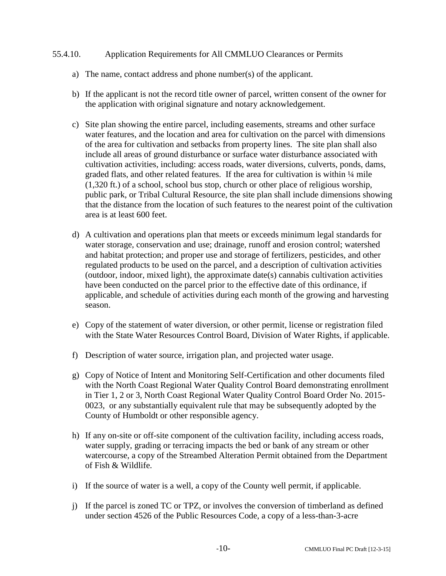#### 55.4.10. Application Requirements for All CMMLUO Clearances or Permits

- a) The name, contact address and phone number(s) of the applicant.
- b) If the applicant is not the record title owner of parcel, written consent of the owner for the application with original signature and notary acknowledgement.
- c) Site plan showing the entire parcel, including easements, streams and other surface water features, and the location and area for cultivation on the parcel with dimensions of the area for cultivation and setbacks from property lines. The site plan shall also include all areas of ground disturbance or surface water disturbance associated with cultivation activities, including: access roads, water diversions, culverts, ponds, dams, graded flats, and other related features. If the area for cultivation is within  $\frac{1}{4}$  mile (1,320 ft.) of a school, school bus stop, church or other place of religious worship, public park, or Tribal Cultural Resource, the site plan shall include dimensions showing that the distance from the location of such features to the nearest point of the cultivation area is at least 600 feet.
- d) A cultivation and operations plan that meets or exceeds minimum legal standards for water storage, conservation and use; drainage, runoff and erosion control; watershed and habitat protection; and proper use and storage of fertilizers, pesticides, and other regulated products to be used on the parcel, and a description of cultivation activities (outdoor, indoor, mixed light), the approximate date(s) cannabis cultivation activities have been conducted on the parcel prior to the effective date of this ordinance, if applicable, and schedule of activities during each month of the growing and harvesting season.
- e) Copy of the statement of water diversion, or other permit, license or registration filed with the State Water Resources Control Board, Division of Water Rights, if applicable.
- f) Description of water source, irrigation plan, and projected water usage.
- g) Copy of Notice of Intent and Monitoring Self-Certification and other documents filed with the North Coast Regional Water Quality Control Board demonstrating enrollment in Tier 1, 2 or 3, North Coast Regional Water Quality Control Board Order No. 2015- 0023, or any substantially equivalent rule that may be subsequently adopted by the County of Humboldt or other responsible agency.
- h) If any on-site or off-site component of the cultivation facility, including access roads, water supply, grading or terracing impacts the bed or bank of any stream or other watercourse, a copy of the Streambed Alteration Permit obtained from the Department of Fish & Wildlife.
- i) If the source of water is a well, a copy of the County well permit, if applicable.
- j) If the parcel is zoned TC or TPZ, or involves the conversion of timberland as defined under section 4526 of the Public Resources Code, a copy of a less-than-3-acre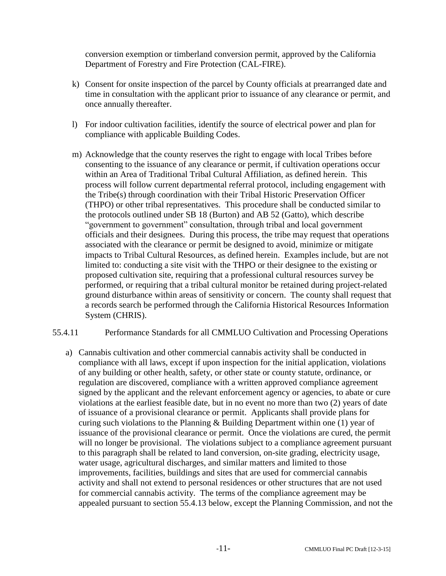conversion exemption or timberland conversion permit, approved by the California Department of Forestry and Fire Protection (CAL-FIRE).

- k) Consent for onsite inspection of the parcel by County officials at prearranged date and time in consultation with the applicant prior to issuance of any clearance or permit, and once annually thereafter.
- l) For indoor cultivation facilities, identify the source of electrical power and plan for compliance with applicable Building Codes.
- m) Acknowledge that the county reserves the right to engage with local Tribes before consenting to the issuance of any clearance or permit, if cultivation operations occur within an Area of Traditional Tribal Cultural Affiliation, as defined herein. This process will follow current departmental referral protocol, including engagement with the Tribe(s) through coordination with their Tribal Historic Preservation Officer (THPO) or other tribal representatives. This procedure shall be conducted similar to the protocols outlined under SB 18 (Burton) and AB 52 (Gatto), which describe "government to government" consultation, through tribal and local government officials and their designees. During this process, the tribe may request that operations associated with the clearance or permit be designed to avoid, minimize or mitigate impacts to Tribal Cultural Resources, as defined herein. Examples include, but are not limited to: conducting a site visit with the THPO or their designee to the existing or proposed cultivation site, requiring that a professional cultural resources survey be performed, or requiring that a tribal cultural monitor be retained during project-related ground disturbance within areas of sensitivity or concern. The county shall request that a records search be performed through the California Historical Resources Information System (CHRIS).
- 55.4.11 Performance Standards for all CMMLUO Cultivation and Processing Operations
	- a) Cannabis cultivation and other commercial cannabis activity shall be conducted in compliance with all laws, except if upon inspection for the initial application, violations of any building or other health, safety, or other state or county statute, ordinance, or regulation are discovered, compliance with a written approved compliance agreement signed by the applicant and the relevant enforcement agency or agencies, to abate or cure violations at the earliest feasible date, but in no event no more than two (2) years of date of issuance of a provisional clearance or permit. Applicants shall provide plans for curing such violations to the Planning  $&$  Building Department within one (1) year of issuance of the provisional clearance or permit. Once the violations are cured, the permit will no longer be provisional. The violations subject to a compliance agreement pursuant to this paragraph shall be related to land conversion, on-site grading, electricity usage, water usage, agricultural discharges, and similar matters and limited to those improvements, facilities, buildings and sites that are used for commercial cannabis activity and shall not extend to personal residences or other structures that are not used for commercial cannabis activity. The terms of the compliance agreement may be appealed pursuant to section 55.4.13 below, except the Planning Commission, and not the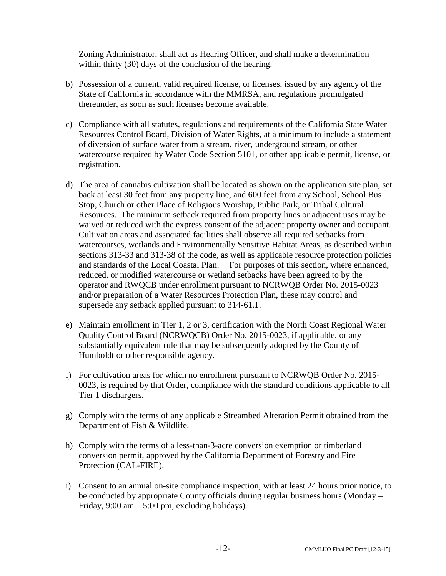Zoning Administrator, shall act as Hearing Officer, and shall make a determination within thirty (30) days of the conclusion of the hearing.

- b) Possession of a current, valid required license, or licenses, issued by any agency of the State of California in accordance with the MMRSA, and regulations promulgated thereunder, as soon as such licenses become available.
- c) Compliance with all statutes, regulations and requirements of the California State Water Resources Control Board, Division of Water Rights, at a minimum to include a statement of diversion of surface water from a stream, river, underground stream, or other watercourse required by Water Code Section 5101, or other applicable permit, license, or registration.
- d) The area of cannabis cultivation shall be located as shown on the application site plan, set back at least 30 feet from any property line, and 600 feet from any School, School Bus Stop, Church or other Place of Religious Worship, Public Park, or Tribal Cultural Resources. The minimum setback required from property lines or adjacent uses may be waived or reduced with the express consent of the adjacent property owner and occupant. Cultivation areas and associated facilities shall observe all required setbacks from watercourses, wetlands and Environmentally Sensitive Habitat Areas, as described within sections 313-33 and 313-38 of the code, as well as applicable resource protection policies and standards of the Local Coastal Plan. For purposes of this section, where enhanced, reduced, or modified watercourse or wetland setbacks have been agreed to by the operator and RWQCB under enrollment pursuant to NCRWQB Order No. 2015-0023 and/or preparation of a Water Resources Protection Plan, these may control and supersede any setback applied pursuant to 314-61.1.
- e) Maintain enrollment in Tier 1, 2 or 3, certification with the North Coast Regional Water Quality Control Board (NCRWQCB) Order No. 2015-0023, if applicable, or any substantially equivalent rule that may be subsequently adopted by the County of Humboldt or other responsible agency.
- f) For cultivation areas for which no enrollment pursuant to NCRWQB Order No. 2015- 0023, is required by that Order, compliance with the standard conditions applicable to all Tier 1 dischargers.
- g) Comply with the terms of any applicable Streambed Alteration Permit obtained from the Department of Fish & Wildlife.
- h) Comply with the terms of a less-than-3-acre conversion exemption or timberland conversion permit, approved by the California Department of Forestry and Fire Protection (CAL-FIRE).
- i) Consent to an annual on-site compliance inspection, with at least 24 hours prior notice, to be conducted by appropriate County officials during regular business hours (Monday – Friday,  $9:00 \text{ am} - 5:00 \text{ pm}$ , excluding holidays).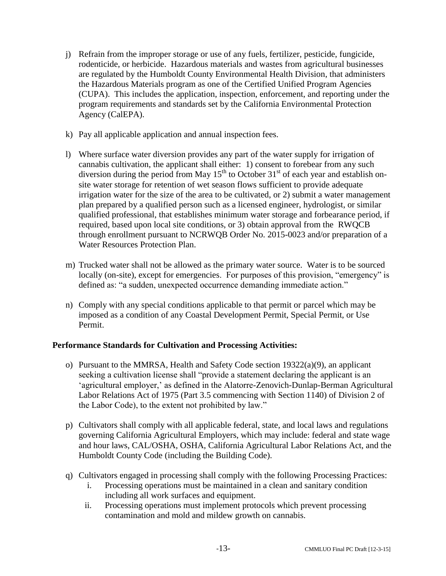- j) Refrain from the improper storage or use of any fuels, fertilizer, pesticide, fungicide, rodenticide, or herbicide. Hazardous materials and wastes from agricultural businesses are regulated by the Humboldt County Environmental Health Division, that administers the Hazardous Materials program as one of the Certified Unified Program Agencies (CUPA). This includes the application, inspection, enforcement, and reporting under the program requirements and standards set by the California Environmental Protection Agency (CalEPA).
- k) Pay all applicable application and annual inspection fees.
- l) Where surface water diversion provides any part of the water supply for irrigation of cannabis cultivation, the applicant shall either: 1) consent to forebear from any such diversion during the period from May  $15<sup>th</sup>$  to October  $31<sup>st</sup>$  of each year and establish onsite water storage for retention of wet season flows sufficient to provide adequate irrigation water for the size of the area to be cultivated, or 2) submit a water management plan prepared by a qualified person such as a licensed engineer, hydrologist, or similar qualified professional, that establishes minimum water storage and forbearance period, if required, based upon local site conditions, or 3) obtain approval from the RWQCB through enrollment pursuant to NCRWQB Order No. 2015-0023 and/or preparation of a Water Resources Protection Plan.
- m) Trucked water shall not be allowed as the primary water source. Water is to be sourced locally (on-site), except for emergencies. For purposes of this provision, "emergency" is defined as: "a sudden, unexpected occurrence demanding immediate action."
- n) Comply with any special conditions applicable to that permit or parcel which may be imposed as a condition of any Coastal Development Permit, Special Permit, or Use Permit.

#### **Performance Standards for Cultivation and Processing Activities:**

- o) Pursuant to the MMRSA, Health and Safety Code section  $19322(a)(9)$ , an applicant seeking a cultivation license shall "provide a statement declaring the applicant is an 'agricultural employer,' as defined in the Alatorre-Zenovich-Dunlap-Berman Agricultural Labor Relations Act of 1975 (Part 3.5 commencing with Section 1140) of Division 2 of the Labor Code), to the extent not prohibited by law."
- p) Cultivators shall comply with all applicable federal, state, and local laws and regulations governing California Agricultural Employers, which may include: federal and state wage and hour laws, CAL/OSHA, OSHA, California Agricultural Labor Relations Act, and the Humboldt County Code (including the Building Code).
- q) Cultivators engaged in processing shall comply with the following Processing Practices:
	- i. Processing operations must be maintained in a clean and sanitary condition including all work surfaces and equipment.
	- ii. Processing operations must implement protocols which prevent processing contamination and mold and mildew growth on cannabis.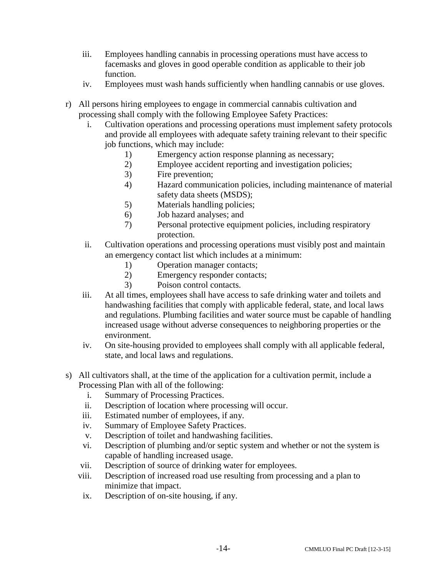- iii. Employees handling cannabis in processing operations must have access to facemasks and gloves in good operable condition as applicable to their job function.
- iv. Employees must wash hands sufficiently when handling cannabis or use gloves.
- r) All persons hiring employees to engage in commercial cannabis cultivation and processing shall comply with the following Employee Safety Practices:
	- i. Cultivation operations and processing operations must implement safety protocols and provide all employees with adequate safety training relevant to their specific job functions, which may include:
		- 1) Emergency action response planning as necessary;
		- 2) Employee accident reporting and investigation policies;
		- 3) Fire prevention;
		- 4) Hazard communication policies, including maintenance of material safety data sheets (MSDS);
		- 5) Materials handling policies;
		- 6) Job hazard analyses; and
		- 7) Personal protective equipment policies, including respiratory protection.
	- ii. Cultivation operations and processing operations must visibly post and maintain an emergency contact list which includes at a minimum:
		- 1) Operation manager contacts;
		- 2) Emergency responder contacts;
		- 3) Poison control contacts.
	- iii. At all times, employees shall have access to safe drinking water and toilets and handwashing facilities that comply with applicable federal, state, and local laws and regulations. Plumbing facilities and water source must be capable of handling increased usage without adverse consequences to neighboring properties or the environment.
	- iv. On site-housing provided to employees shall comply with all applicable federal, state, and local laws and regulations.
- s) All cultivators shall, at the time of the application for a cultivation permit, include a Processing Plan with all of the following:
	- i. Summary of Processing Practices.
	- ii. Description of location where processing will occur.
	- iii. Estimated number of employees, if any.
	- iv. Summary of Employee Safety Practices.
	- v. Description of toilet and handwashing facilities.
	- vi. Description of plumbing and/or septic system and whether or not the system is capable of handling increased usage.
	- vii. Description of source of drinking water for employees.
	- viii. Description of increased road use resulting from processing and a plan to minimize that impact.
	- ix. Description of on-site housing, if any.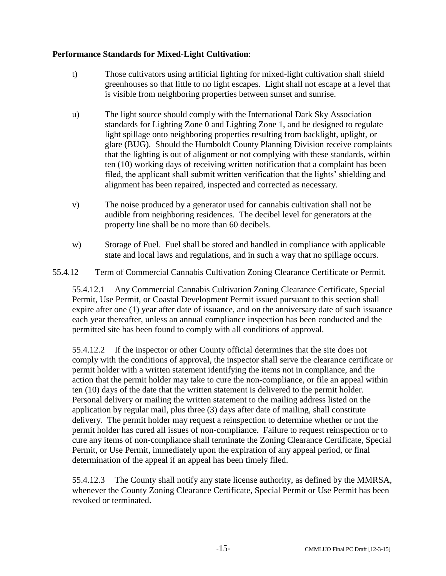# **Performance Standards for Mixed-Light Cultivation**:

- t) Those cultivators using artificial lighting for mixed-light cultivation shall shield greenhouses so that little to no light escapes. Light shall not escape at a level that is visible from neighboring properties between sunset and sunrise.
- u) The light source should comply with the International Dark Sky Association standards for Lighting Zone 0 and Lighting Zone 1, and be designed to regulate light spillage onto neighboring properties resulting from backlight, uplight, or glare (BUG). Should the Humboldt County Planning Division receive complaints that the lighting is out of alignment or not complying with these standards, within ten (10) working days of receiving written notification that a complaint has been filed, the applicant shall submit written verification that the lights' shielding and alignment has been repaired, inspected and corrected as necessary.
- v) The noise produced by a generator used for cannabis cultivation shall not be audible from neighboring residences. The decibel level for generators at the property line shall be no more than 60 decibels.
- w) Storage of Fuel. Fuel shall be stored and handled in compliance with applicable state and local laws and regulations, and in such a way that no spillage occurs.
- 55.4.12 Term of Commercial Cannabis Cultivation Zoning Clearance Certificate or Permit.

55.4.12.1 Any Commercial Cannabis Cultivation Zoning Clearance Certificate, Special Permit, Use Permit, or Coastal Development Permit issued pursuant to this section shall expire after one (1) year after date of issuance, and on the anniversary date of such issuance each year thereafter, unless an annual compliance inspection has been conducted and the permitted site has been found to comply with all conditions of approval.

55.4.12.2 If the inspector or other County official determines that the site does not comply with the conditions of approval, the inspector shall serve the clearance certificate or permit holder with a written statement identifying the items not in compliance, and the action that the permit holder may take to cure the non-compliance, or file an appeal within ten (10) days of the date that the written statement is delivered to the permit holder. Personal delivery or mailing the written statement to the mailing address listed on the application by regular mail, plus three (3) days after date of mailing, shall constitute delivery. The permit holder may request a reinspection to determine whether or not the permit holder has cured all issues of non-compliance. Failure to request reinspection or to cure any items of non-compliance shall terminate the Zoning Clearance Certificate, Special Permit, or Use Permit, immediately upon the expiration of any appeal period, or final determination of the appeal if an appeal has been timely filed.

55.4.12.3 The County shall notify any state license authority, as defined by the MMRSA, whenever the County Zoning Clearance Certificate, Special Permit or Use Permit has been revoked or terminated.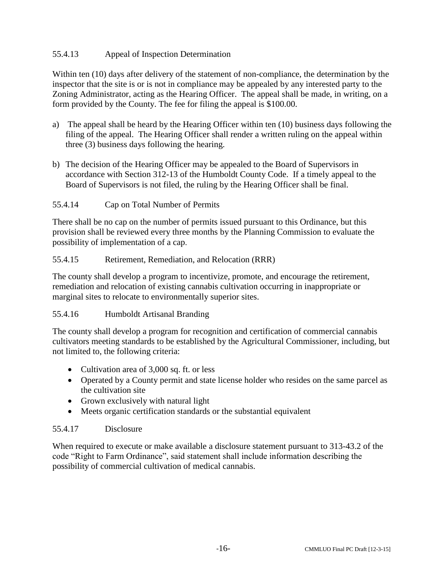# 55.4.13 Appeal of Inspection Determination

Within ten (10) days after delivery of the statement of non-compliance, the determination by the inspector that the site is or is not in compliance may be appealed by any interested party to the Zoning Administrator, acting as the Hearing Officer. The appeal shall be made, in writing, on a form provided by the County. The fee for filing the appeal is \$100.00.

- a) The appeal shall be heard by the Hearing Officer within ten (10) business days following the filing of the appeal. The Hearing Officer shall render a written ruling on the appeal within three (3) business days following the hearing.
- b) The decision of the Hearing Officer may be appealed to the Board of Supervisors in accordance with Section 312-13 of the Humboldt County Code. If a timely appeal to the Board of Supervisors is not filed, the ruling by the Hearing Officer shall be final.

# 55.4.14 Cap on Total Number of Permits

There shall be no cap on the number of permits issued pursuant to this Ordinance, but this provision shall be reviewed every three months by the Planning Commission to evaluate the possibility of implementation of a cap.

# 55.4.15 Retirement, Remediation, and Relocation (RRR)

The county shall develop a program to incentivize, promote, and encourage the retirement, remediation and relocation of existing cannabis cultivation occurring in inappropriate or marginal sites to relocate to environmentally superior sites.

# 55.4.16 Humboldt Artisanal Branding

The county shall develop a program for recognition and certification of commercial cannabis cultivators meeting standards to be established by the Agricultural Commissioner, including, but not limited to, the following criteria:

- Cultivation area of 3,000 sq. ft. or less
- Operated by a County permit and state license holder who resides on the same parcel as the cultivation site
- Grown exclusively with natural light
- Meets organic certification standards or the substantial equivalent

#### 55.4.17 Disclosure

When required to execute or make available a disclosure statement pursuant to 313-43.2 of the code "Right to Farm Ordinance", said statement shall include information describing the possibility of commercial cultivation of medical cannabis.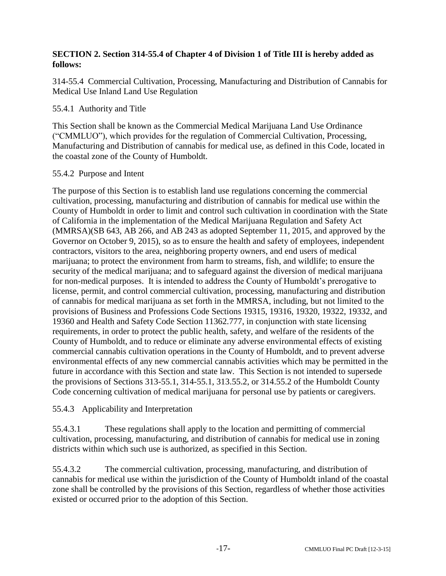# **SECTION 2. Section 314-55.4 of Chapter 4 of Division 1 of Title III is hereby added as follows:**

314-55.4 Commercial Cultivation, Processing, Manufacturing and Distribution of Cannabis for Medical Use Inland Land Use Regulation

# 55.4.1 Authority and Title

This Section shall be known as the Commercial Medical Marijuana Land Use Ordinance ("CMMLUO"), which provides for the regulation of Commercial Cultivation, Processing, Manufacturing and Distribution of cannabis for medical use, as defined in this Code, located in the coastal zone of the County of Humboldt.

#### 55.4.2 Purpose and Intent

The purpose of this Section is to establish land use regulations concerning the commercial cultivation, processing, manufacturing and distribution of cannabis for medical use within the County of Humboldt in order to limit and control such cultivation in coordination with the State of California in the implementation of the Medical Marijuana Regulation and Safety Act (MMRSA)(SB 643, AB 266, and AB 243 as adopted September 11, 2015, and approved by the Governor on October 9, 2015), so as to ensure the health and safety of employees, independent contractors, visitors to the area, neighboring property owners, and end users of medical marijuana; to protect the environment from harm to streams, fish, and wildlife; to ensure the security of the medical marijuana; and to safeguard against the diversion of medical marijuana for non-medical purposes. It is intended to address the County of Humboldt's prerogative to license, permit, and control commercial cultivation, processing, manufacturing and distribution of cannabis for medical marijuana as set forth in the MMRSA, including, but not limited to the provisions of Business and Professions Code Sections 19315, 19316, 19320, 19322, 19332, and 19360 and Health and Safety Code Section 11362.777, in conjunction with state licensing requirements, in order to protect the public health, safety, and welfare of the residents of the County of Humboldt, and to reduce or eliminate any adverse environmental effects of existing commercial cannabis cultivation operations in the County of Humboldt, and to prevent adverse environmental effects of any new commercial cannabis activities which may be permitted in the future in accordance with this Section and state law. This Section is not intended to supersede the provisions of Sections 313-55.1, 314-55.1, 313.55.2, or 314.55.2 of the Humboldt County Code concerning cultivation of medical marijuana for personal use by patients or caregivers.

# 55.4.3 Applicability and Interpretation

55.4.3.1 These regulations shall apply to the location and permitting of commercial cultivation, processing, manufacturing, and distribution of cannabis for medical use in zoning districts within which such use is authorized, as specified in this Section.

55.4.3.2 The commercial cultivation, processing, manufacturing, and distribution of cannabis for medical use within the jurisdiction of the County of Humboldt inland of the coastal zone shall be controlled by the provisions of this Section, regardless of whether those activities existed or occurred prior to the adoption of this Section.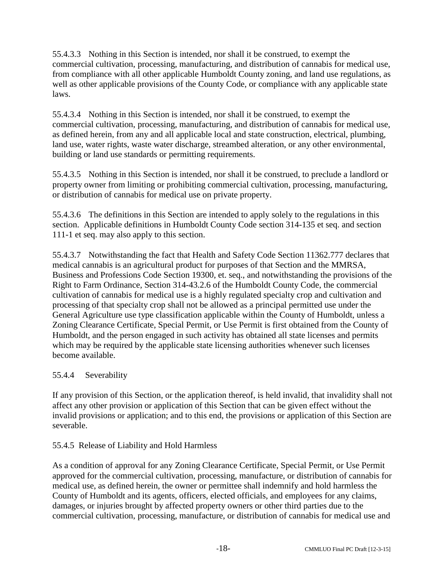55.4.3.3 Nothing in this Section is intended, nor shall it be construed, to exempt the commercial cultivation, processing, manufacturing, and distribution of cannabis for medical use, from compliance with all other applicable Humboldt County zoning, and land use regulations, as well as other applicable provisions of the County Code, or compliance with any applicable state laws.

55.4.3.4 Nothing in this Section is intended, nor shall it be construed, to exempt the commercial cultivation, processing, manufacturing, and distribution of cannabis for medical use, as defined herein, from any and all applicable local and state construction, electrical, plumbing, land use, water rights, waste water discharge, streambed alteration, or any other environmental, building or land use standards or permitting requirements.

55.4.3.5 Nothing in this Section is intended, nor shall it be construed, to preclude a landlord or property owner from limiting or prohibiting commercial cultivation, processing, manufacturing, or distribution of cannabis for medical use on private property.

55.4.3.6 The definitions in this Section are intended to apply solely to the regulations in this section. Applicable definitions in Humboldt County Code section 314-135 et seq. and section 111-1 et seq. may also apply to this section.

55.4.3.7 Notwithstanding the fact that Health and Safety Code Section 11362.777 declares that medical cannabis is an agricultural product for purposes of that Section and the MMRSA, Business and Professions Code Section 19300, et. seq., and notwithstanding the provisions of the Right to Farm Ordinance, Section 314-43.2.6 of the Humboldt County Code, the commercial cultivation of cannabis for medical use is a highly regulated specialty crop and cultivation and processing of that specialty crop shall not be allowed as a principal permitted use under the General Agriculture use type classification applicable within the County of Humboldt, unless a Zoning Clearance Certificate, Special Permit, or Use Permit is first obtained from the County of Humboldt, and the person engaged in such activity has obtained all state licenses and permits which may be required by the applicable state licensing authorities whenever such licenses become available.

# 55.4.4 Severability

If any provision of this Section, or the application thereof, is held invalid, that invalidity shall not affect any other provision or application of this Section that can be given effect without the invalid provisions or application; and to this end, the provisions or application of this Section are severable.

# 55.4.5 Release of Liability and Hold Harmless

As a condition of approval for any Zoning Clearance Certificate, Special Permit, or Use Permit approved for the commercial cultivation, processing, manufacture, or distribution of cannabis for medical use, as defined herein, the owner or permittee shall indemnify and hold harmless the County of Humboldt and its agents, officers, elected officials, and employees for any claims, damages, or injuries brought by affected property owners or other third parties due to the commercial cultivation, processing, manufacture, or distribution of cannabis for medical use and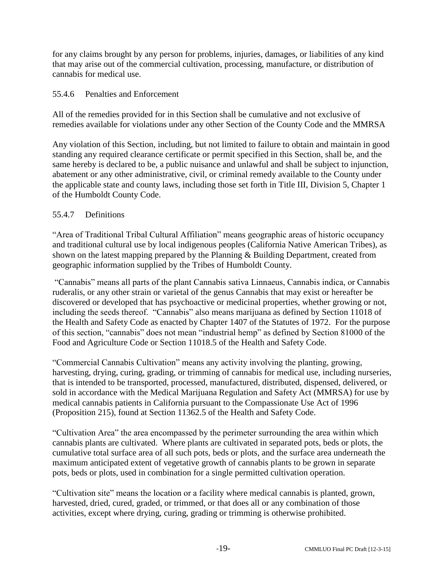for any claims brought by any person for problems, injuries, damages, or liabilities of any kind that may arise out of the commercial cultivation, processing, manufacture, or distribution of cannabis for medical use.

### 55.4.6 Penalties and Enforcement

All of the remedies provided for in this Section shall be cumulative and not exclusive of remedies available for violations under any other Section of the County Code and the MMRSA

Any violation of this Section, including, but not limited to failure to obtain and maintain in good standing any required clearance certificate or permit specified in this Section, shall be, and the same hereby is declared to be, a public nuisance and unlawful and shall be subject to injunction, abatement or any other administrative, civil, or criminal remedy available to the County under the applicable state and county laws, including those set forth in Title III, Division 5, Chapter 1 of the Humboldt County Code.

# 55.4.7 Definitions

"Area of Traditional Tribal Cultural Affiliation" means geographic areas of historic occupancy and traditional cultural use by local indigenous peoples (California Native American Tribes), as shown on the latest mapping prepared by the Planning & Building Department, created from geographic information supplied by the Tribes of Humboldt County.

"Cannabis" means all parts of the plant Cannabis sativa Linnaeus, Cannabis indica, or Cannabis ruderalis, or any other strain or varietal of the genus Cannabis that may exist or hereafter be discovered or developed that has psychoactive or medicinal properties, whether growing or not, including the seeds thereof. "Cannabis" also means marijuana as defined by Section 11018 of the Health and Safety Code as enacted by Chapter 1407 of the Statutes of 1972. For the purpose of this section, "cannabis" does not mean "industrial hemp" as defined by Section 81000 of the Food and Agriculture Code or Section 11018.5 of the Health and Safety Code.

"Commercial Cannabis Cultivation" means any activity involving the planting, growing, harvesting, drying, curing, grading, or trimming of cannabis for medical use, including nurseries, that is intended to be transported, processed, manufactured, distributed, dispensed, delivered, or sold in accordance with the Medical Marijuana Regulation and Safety Act (MMRSA) for use by medical cannabis patients in California pursuant to the Compassionate Use Act of 1996 (Proposition 215), found at Section 11362.5 of the Health and Safety Code.

"Cultivation Area" the area encompassed by the perimeter surrounding the area within which cannabis plants are cultivated. Where plants are cultivated in separated pots, beds or plots, the cumulative total surface area of all such pots, beds or plots, and the surface area underneath the maximum anticipated extent of vegetative growth of cannabis plants to be grown in separate pots, beds or plots, used in combination for a single permitted cultivation operation.

"Cultivation site" means the location or a facility where medical cannabis is planted, grown, harvested, dried, cured, graded, or trimmed, or that does all or any combination of those activities, except where drying, curing, grading or trimming is otherwise prohibited.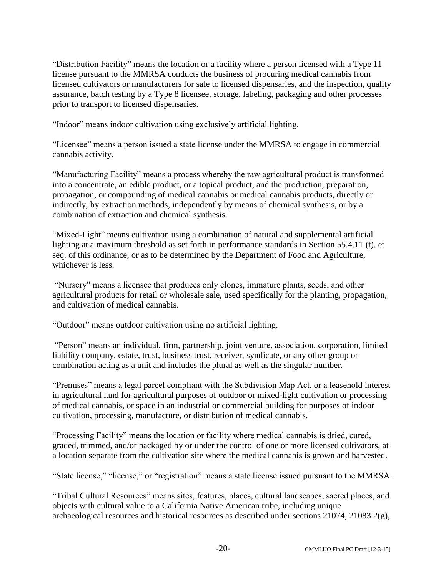"Distribution Facility" means the location or a facility where a person licensed with a Type 11 license pursuant to the MMRSA conducts the business of procuring medical cannabis from licensed cultivators or manufacturers for sale to licensed dispensaries, and the inspection, quality assurance, batch testing by a Type 8 licensee, storage, labeling, packaging and other processes prior to transport to licensed dispensaries.

"Indoor" means indoor cultivation using exclusively artificial lighting.

"Licensee" means a person issued a state license under the MMRSA to engage in commercial cannabis activity.

"Manufacturing Facility" means a process whereby the raw agricultural product is transformed into a concentrate, an edible product, or a topical product, and the production, preparation, propagation, or compounding of medical cannabis or medical cannabis products, directly or indirectly, by extraction methods, independently by means of chemical synthesis, or by a combination of extraction and chemical synthesis.

"Mixed-Light" means cultivation using a combination of natural and supplemental artificial lighting at a maximum threshold as set forth in performance standards in Section 55.4.11 (t), et seq. of this ordinance, or as to be determined by the Department of Food and Agriculture, whichever is less.

"Nursery" means a licensee that produces only clones, immature plants, seeds, and other agricultural products for retail or wholesale sale, used specifically for the planting, propagation, and cultivation of medical cannabis.

"Outdoor" means outdoor cultivation using no artificial lighting.

"Person" means an individual, firm, partnership, joint venture, association, corporation, limited liability company, estate, trust, business trust, receiver, syndicate, or any other group or combination acting as a unit and includes the plural as well as the singular number.

"Premises" means a legal parcel compliant with the Subdivision Map Act, or a leasehold interest in agricultural land for agricultural purposes of outdoor or mixed-light cultivation or processing of medical cannabis, or space in an industrial or commercial building for purposes of indoor cultivation, processing, manufacture, or distribution of medical cannabis.

"Processing Facility" means the location or facility where medical cannabis is dried, cured, graded, trimmed, and/or packaged by or under the control of one or more licensed cultivators, at a location separate from the cultivation site where the medical cannabis is grown and harvested.

"State license," "license," or "registration" means a state license issued pursuant to the MMRSA.

"Tribal Cultural Resources" means sites, features, places, cultural landscapes, sacred places, and objects with cultural value to a California Native American tribe, including unique archaeological resources and historical resources as described under sections 21074, 21083.2(g),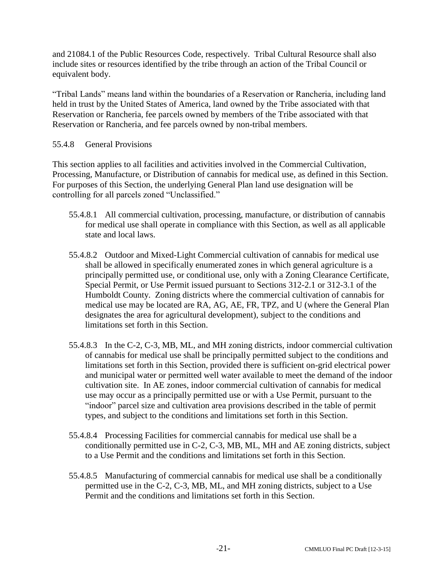and 21084.1 of the Public Resources Code, respectively. Tribal Cultural Resource shall also include sites or resources identified by the tribe through an action of the Tribal Council or equivalent body.

"Tribal Lands" means land within the boundaries of a Reservation or Rancheria, including land held in trust by the United States of America, land owned by the Tribe associated with that Reservation or Rancheria, fee parcels owned by members of the Tribe associated with that Reservation or Rancheria, and fee parcels owned by non-tribal members.

# 55.4.8 General Provisions

This section applies to all facilities and activities involved in the Commercial Cultivation, Processing, Manufacture, or Distribution of cannabis for medical use, as defined in this Section. For purposes of this Section, the underlying General Plan land use designation will be controlling for all parcels zoned "Unclassified."

- 55.4.8.1 All commercial cultivation, processing, manufacture, or distribution of cannabis for medical use shall operate in compliance with this Section, as well as all applicable state and local laws.
- 55.4.8.2 Outdoor and Mixed-Light Commercial cultivation of cannabis for medical use shall be allowed in specifically enumerated zones in which general agriculture is a principally permitted use, or conditional use, only with a Zoning Clearance Certificate, Special Permit, or Use Permit issued pursuant to Sections 312-2.1 or 312-3.1 of the Humboldt County. Zoning districts where the commercial cultivation of cannabis for medical use may be located are RA, AG, AE, FR, TPZ, and U (where the General Plan designates the area for agricultural development), subject to the conditions and limitations set forth in this Section.
- 55.4.8.3 In the C-2, C-3, MB, ML, and MH zoning districts, indoor commercial cultivation of cannabis for medical use shall be principally permitted subject to the conditions and limitations set forth in this Section, provided there is sufficient on-grid electrical power and municipal water or permitted well water available to meet the demand of the indoor cultivation site. In AE zones, indoor commercial cultivation of cannabis for medical use may occur as a principally permitted use or with a Use Permit, pursuant to the "indoor" parcel size and cultivation area provisions described in the table of permit types, and subject to the conditions and limitations set forth in this Section.
- 55.4.8.4 Processing Facilities for commercial cannabis for medical use shall be a conditionally permitted use in C-2, C-3, MB, ML, MH and AE zoning districts, subject to a Use Permit and the conditions and limitations set forth in this Section.
- 55.4.8.5 Manufacturing of commercial cannabis for medical use shall be a conditionally permitted use in the C-2, C-3, MB, ML, and MH zoning districts, subject to a Use Permit and the conditions and limitations set forth in this Section.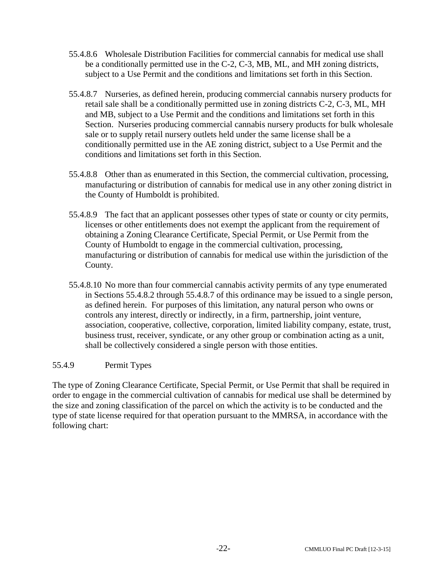- 55.4.8.6 Wholesale Distribution Facilities for commercial cannabis for medical use shall be a conditionally permitted use in the C-2, C-3, MB, ML, and MH zoning districts, subject to a Use Permit and the conditions and limitations set forth in this Section.
- 55.4.8.7 Nurseries, as defined herein, producing commercial cannabis nursery products for retail sale shall be a conditionally permitted use in zoning districts C-2, C-3, ML, MH and MB, subject to a Use Permit and the conditions and limitations set forth in this Section. Nurseries producing commercial cannabis nursery products for bulk wholesale sale or to supply retail nursery outlets held under the same license shall be a conditionally permitted use in the AE zoning district, subject to a Use Permit and the conditions and limitations set forth in this Section.
- 55.4.8.8 Other than as enumerated in this Section, the commercial cultivation, processing, manufacturing or distribution of cannabis for medical use in any other zoning district in the County of Humboldt is prohibited.
- 55.4.8.9 The fact that an applicant possesses other types of state or county or city permits, licenses or other entitlements does not exempt the applicant from the requirement of obtaining a Zoning Clearance Certificate, Special Permit, or Use Permit from the County of Humboldt to engage in the commercial cultivation, processing, manufacturing or distribution of cannabis for medical use within the jurisdiction of the County.
- 55.4.8.10 No more than four commercial cannabis activity permits of any type enumerated in Sections 55.4.8.2 through 55.4.8.7 of this ordinance may be issued to a single person, as defined herein. For purposes of this limitation, any natural person who owns or controls any interest, directly or indirectly, in a firm, partnership, joint venture, association, cooperative, collective, corporation, limited liability company, estate, trust, business trust, receiver, syndicate, or any other group or combination acting as a unit, shall be collectively considered a single person with those entities.

# 55.4.9 Permit Types

The type of Zoning Clearance Certificate, Special Permit, or Use Permit that shall be required in order to engage in the commercial cultivation of cannabis for medical use shall be determined by the size and zoning classification of the parcel on which the activity is to be conducted and the type of state license required for that operation pursuant to the MMRSA, in accordance with the following chart: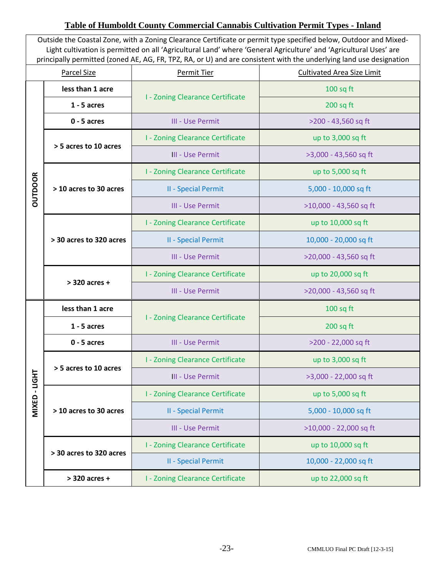# **Table of Humboldt County Commercial Cannabis Cultivation Permit Types - Inland**

Outside the Coastal Zone, with a Zoning Clearance Certificate or permit type specified below, Outdoor and Mixed-Light cultivation is permitted on all 'Agricultural Land' where 'General Agriculture' and 'Agricultural Uses' are principally permitted (zoned AE, AG, FR, TPZ, RA, or U) and are consistent with the underlying land use designation

| <b>Parcel Size</b> |                         | <b>Permit Tier</b>                      | <b>Cultivated Area Size Limit</b> |
|--------------------|-------------------------|-----------------------------------------|-----------------------------------|
| <b>OUTDOOR</b>     | less than 1 acre        | <b>I - Zoning Clearance Certificate</b> | $100$ sq ft                       |
|                    | $1 - 5$ acres           |                                         | $200$ sq ft                       |
|                    | $0 - 5$ acres           | III - Use Permit                        | >200 - 43,560 sq ft               |
|                    | > 5 acres to 10 acres   | <b>I - Zoning Clearance Certificate</b> | up to 3,000 sq ft                 |
|                    |                         | <b>III - Use Permit</b>                 | >3,000 - 43,560 sq ft             |
|                    | > 10 acres to 30 acres  | <b>I - Zoning Clearance Certificate</b> | up to 5,000 sq ft                 |
|                    |                         | <b>II - Special Permit</b>              | 5,000 - 10,000 sq ft              |
|                    |                         | III - Use Permit                        | >10,000 - 43,560 sq ft            |
|                    | > 30 acres to 320 acres | <b>I - Zoning Clearance Certificate</b> | up to 10,000 sq ft                |
|                    |                         | <b>II - Special Permit</b>              | 10,000 - 20,000 sq ft             |
|                    |                         | III - Use Permit                        | >20,000 - 43,560 sq ft            |
|                    | > 320 acres +           | <b>I - Zoning Clearance Certificate</b> | up to 20,000 sq ft                |
|                    |                         | III - Use Permit                        | >20,000 - 43,560 sq ft            |
|                    | less than 1 acre        | <b>I - Zoning Clearance Certificate</b> | $100$ sq ft                       |
|                    | $1 - 5$ acres           |                                         | $200$ sq ft                       |
|                    | $0 - 5$ acres           | <b>III - Use Permit</b>                 | >200 - 22,000 sq ft               |
|                    | > 5 acres to 10 acres   | <b>I - Zoning Clearance Certificate</b> | up to 3,000 sq ft                 |
| <b>LIGHT</b>       |                         | <b>III - Use Permit</b>                 | >3,000 - 22,000 sq ft             |
|                    | > 10 acres to 30 acres  | <b>I - Zoning Clearance Certificate</b> | up to 5,000 sq ft                 |
| <b>MIXED</b>       |                         | <b>II - Special Permit</b>              | 5,000 - 10,000 sq ft              |
|                    |                         | <b>III - Use Permit</b>                 | >10,000 - 22,000 sq ft            |
|                    | > 30 acres to 320 acres | <b>I - Zoning Clearance Certificate</b> | up to 10,000 sq ft                |
|                    |                         | <b>II - Special Permit</b>              | 10,000 - 22,000 sq ft             |
|                    | > 320 acres +           | <b>I - Zoning Clearance Certificate</b> | up to 22,000 sq ft                |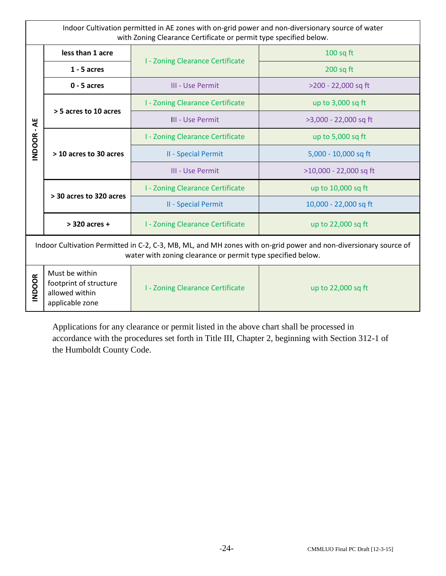Indoor Cultivation permitted in AE zones with on-grid power and non-diversionary source of water with Zoning Clearance Certificate or permit type specified below.

| $\overline{A}$<br>$\mathbf{I}$<br><b>INDOOR</b>                                                                                                                                 | less than 1 acre                                                              | <b>I - Zoning Clearance Certificate</b> | $100$ sq ft            |  |
|---------------------------------------------------------------------------------------------------------------------------------------------------------------------------------|-------------------------------------------------------------------------------|-----------------------------------------|------------------------|--|
|                                                                                                                                                                                 | $1 - 5$ acres                                                                 |                                         | $200$ sq ft            |  |
|                                                                                                                                                                                 | $0 - 5$ acres                                                                 | III - Use Permit                        | >200 - 22,000 sq ft    |  |
|                                                                                                                                                                                 | > 5 acres to 10 acres                                                         | <b>I - Zoning Clearance Certificate</b> | up to 3,000 sq ft      |  |
|                                                                                                                                                                                 |                                                                               | III - Use Permit                        | >3,000 - 22,000 sq ft  |  |
|                                                                                                                                                                                 | > 10 acres to 30 acres                                                        | <b>I - Zoning Clearance Certificate</b> | up to 5,000 sq ft      |  |
|                                                                                                                                                                                 |                                                                               | <b>II - Special Permit</b>              | 5,000 - 10,000 sq ft   |  |
|                                                                                                                                                                                 |                                                                               | III - Use Permit                        | >10,000 - 22,000 sq ft |  |
|                                                                                                                                                                                 | > 30 acres to 320 acres                                                       | <b>I - Zoning Clearance Certificate</b> | up to 10,000 sq ft     |  |
|                                                                                                                                                                                 |                                                                               | <b>II - Special Permit</b>              | 10,000 - 22,000 sq ft  |  |
|                                                                                                                                                                                 | $>$ 320 acres +                                                               | <b>I - Zoning Clearance Certificate</b> | up to 22,000 sq ft     |  |
| Indoor Cultivation Permitted in C-2, C-3, MB, ML, and MH zones with on-grid power and non-diversionary source of<br>water with zoning clearance or permit type specified below. |                                                                               |                                         |                        |  |
| <b>INDOOR</b>                                                                                                                                                                   | Must be within<br>footprint of structure<br>allowed within<br>applicable zone | <b>I - Zoning Clearance Certificate</b> | up to 22,000 sq ft     |  |

Applications for any clearance or permit listed in the above chart shall be processed in accordance with the procedures set forth in Title III, Chapter 2, beginning with Section 312-1 of the Humboldt County Code.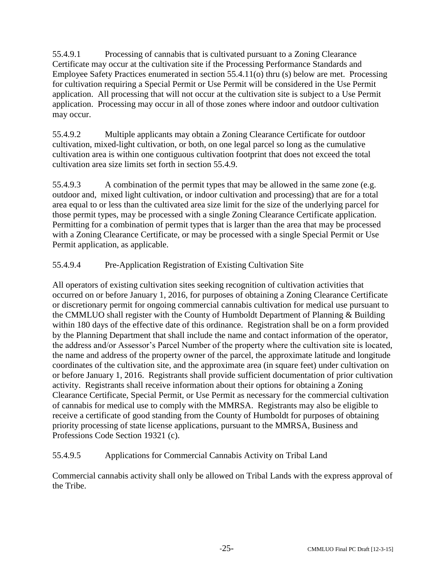55.4.9.1 Processing of cannabis that is cultivated pursuant to a Zoning Clearance Certificate may occur at the cultivation site if the Processing Performance Standards and Employee Safety Practices enumerated in section 55.4.11(o) thru (s) below are met. Processing for cultivation requiring a Special Permit or Use Permit will be considered in the Use Permit application. All processing that will not occur at the cultivation site is subject to a Use Permit application. Processing may occur in all of those zones where indoor and outdoor cultivation may occur.

55.4.9.2 Multiple applicants may obtain a Zoning Clearance Certificate for outdoor cultivation, mixed-light cultivation, or both, on one legal parcel so long as the cumulative cultivation area is within one contiguous cultivation footprint that does not exceed the total cultivation area size limits set forth in section 55.4.9.

55.4.9.3 A combination of the permit types that may be allowed in the same zone (e.g. outdoor and, mixed light cultivation, or indoor cultivation and processing) that are for a total area equal to or less than the cultivated area size limit for the size of the underlying parcel for those permit types, may be processed with a single Zoning Clearance Certificate application. Permitting for a combination of permit types that is larger than the area that may be processed with a Zoning Clearance Certificate, or may be processed with a single Special Permit or Use Permit application, as applicable.

# 55.4.9.4 Pre-Application Registration of Existing Cultivation Site

All operators of existing cultivation sites seeking recognition of cultivation activities that occurred on or before January 1, 2016, for purposes of obtaining a Zoning Clearance Certificate or discretionary permit for ongoing commercial cannabis cultivation for medical use pursuant to the CMMLUO shall register with the County of Humboldt Department of Planning & Building within 180 days of the effective date of this ordinance. Registration shall be on a form provided by the Planning Department that shall include the name and contact information of the operator, the address and/or Assessor's Parcel Number of the property where the cultivation site is located, the name and address of the property owner of the parcel, the approximate latitude and longitude coordinates of the cultivation site, and the approximate area (in square feet) under cultivation on or before January 1, 2016. Registrants shall provide sufficient documentation of prior cultivation activity. Registrants shall receive information about their options for obtaining a Zoning Clearance Certificate, Special Permit, or Use Permit as necessary for the commercial cultivation of cannabis for medical use to comply with the MMRSA. Registrants may also be eligible to receive a certificate of good standing from the County of Humboldt for purposes of obtaining priority processing of state license applications, pursuant to the MMRSA, Business and Professions Code Section 19321 (c).

# 55.4.9.5 Applications for Commercial Cannabis Activity on Tribal Land

Commercial cannabis activity shall only be allowed on Tribal Lands with the express approval of the Tribe.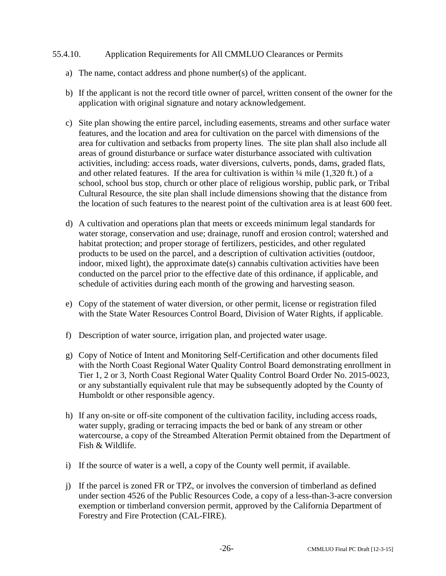#### 55.4.10. Application Requirements for All CMMLUO Clearances or Permits

- a) The name, contact address and phone number(s) of the applicant.
- b) If the applicant is not the record title owner of parcel, written consent of the owner for the application with original signature and notary acknowledgement.
- c) Site plan showing the entire parcel, including easements, streams and other surface water features, and the location and area for cultivation on the parcel with dimensions of the area for cultivation and setbacks from property lines. The site plan shall also include all areas of ground disturbance or surface water disturbance associated with cultivation activities, including: access roads, water diversions, culverts, ponds, dams, graded flats, and other related features. If the area for cultivation is within  $\frac{1}{4}$  mile (1,320 ft.) of a school, school bus stop, church or other place of religious worship, public park, or Tribal Cultural Resource, the site plan shall include dimensions showing that the distance from the location of such features to the nearest point of the cultivation area is at least 600 feet.
- d) A cultivation and operations plan that meets or exceeds minimum legal standards for water storage, conservation and use; drainage, runoff and erosion control; watershed and habitat protection; and proper storage of fertilizers, pesticides, and other regulated products to be used on the parcel, and a description of cultivation activities (outdoor, indoor, mixed light), the approximate date(s) cannabis cultivation activities have been conducted on the parcel prior to the effective date of this ordinance, if applicable, and schedule of activities during each month of the growing and harvesting season.
- e) Copy of the statement of water diversion, or other permit, license or registration filed with the State Water Resources Control Board, Division of Water Rights, if applicable.
- f) Description of water source, irrigation plan, and projected water usage.
- g) Copy of Notice of Intent and Monitoring Self-Certification and other documents filed with the North Coast Regional Water Quality Control Board demonstrating enrollment in Tier 1, 2 or 3, North Coast Regional Water Quality Control Board Order No. 2015-0023, or any substantially equivalent rule that may be subsequently adopted by the County of Humboldt or other responsible agency.
- h) If any on-site or off-site component of the cultivation facility, including access roads, water supply, grading or terracing impacts the bed or bank of any stream or other watercourse, a copy of the Streambed Alteration Permit obtained from the Department of Fish & Wildlife.
- i) If the source of water is a well, a copy of the County well permit, if available.
- j) If the parcel is zoned FR or TPZ, or involves the conversion of timberland as defined under section 4526 of the Public Resources Code, a copy of a less-than-3-acre conversion exemption or timberland conversion permit, approved by the California Department of Forestry and Fire Protection (CAL-FIRE).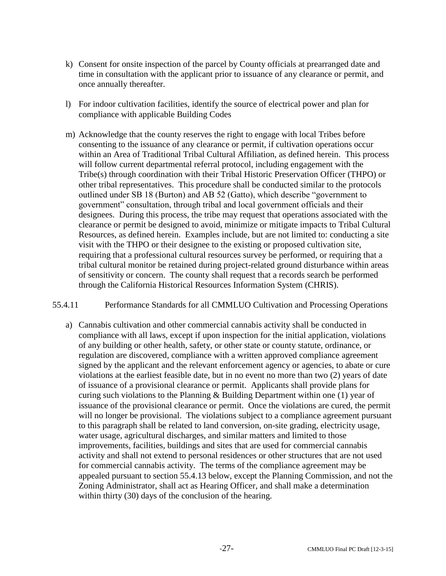- k) Consent for onsite inspection of the parcel by County officials at prearranged date and time in consultation with the applicant prior to issuance of any clearance or permit, and once annually thereafter.
- l) For indoor cultivation facilities, identify the source of electrical power and plan for compliance with applicable Building Codes
- m) Acknowledge that the county reserves the right to engage with local Tribes before consenting to the issuance of any clearance or permit, if cultivation operations occur within an Area of Traditional Tribal Cultural Affiliation, as defined herein. This process will follow current departmental referral protocol, including engagement with the Tribe(s) through coordination with their Tribal Historic Preservation Officer (THPO) or other tribal representatives. This procedure shall be conducted similar to the protocols outlined under SB 18 (Burton) and AB 52 (Gatto), which describe "government to government" consultation, through tribal and local government officials and their designees. During this process, the tribe may request that operations associated with the clearance or permit be designed to avoid, minimize or mitigate impacts to Tribal Cultural Resources, as defined herein. Examples include, but are not limited to: conducting a site visit with the THPO or their designee to the existing or proposed cultivation site, requiring that a professional cultural resources survey be performed, or requiring that a tribal cultural monitor be retained during project-related ground disturbance within areas of sensitivity or concern. The county shall request that a records search be performed through the California Historical Resources Information System (CHRIS).

# 55.4.11 Performance Standards for all CMMLUO Cultivation and Processing Operations

a) Cannabis cultivation and other commercial cannabis activity shall be conducted in compliance with all laws, except if upon inspection for the initial application, violations of any building or other health, safety, or other state or county statute, ordinance, or regulation are discovered, compliance with a written approved compliance agreement signed by the applicant and the relevant enforcement agency or agencies, to abate or cure violations at the earliest feasible date, but in no event no more than two (2) years of date of issuance of a provisional clearance or permit. Applicants shall provide plans for curing such violations to the Planning & Building Department within one (1) year of issuance of the provisional clearance or permit. Once the violations are cured, the permit will no longer be provisional. The violations subject to a compliance agreement pursuant to this paragraph shall be related to land conversion, on-site grading, electricity usage, water usage, agricultural discharges, and similar matters and limited to those improvements, facilities, buildings and sites that are used for commercial cannabis activity and shall not extend to personal residences or other structures that are not used for commercial cannabis activity. The terms of the compliance agreement may be appealed pursuant to section 55.4.13 below, except the Planning Commission, and not the Zoning Administrator, shall act as Hearing Officer, and shall make a determination within thirty (30) days of the conclusion of the hearing.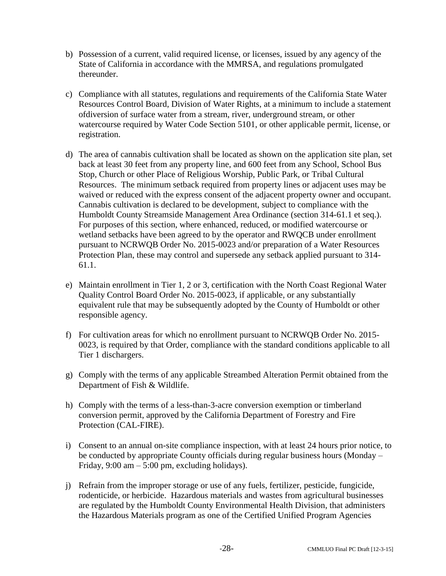- b) Possession of a current, valid required license, or licenses, issued by any agency of the State of California in accordance with the MMRSA, and regulations promulgated thereunder.
- c) Compliance with all statutes, regulations and requirements of the California State Water Resources Control Board, Division of Water Rights, at a minimum to include a statement ofdiversion of surface water from a stream, river, underground stream, or other watercourse required by Water Code Section 5101, or other applicable permit, license, or registration.
- d) The area of cannabis cultivation shall be located as shown on the application site plan, set back at least 30 feet from any property line, and 600 feet from any School, School Bus Stop, Church or other Place of Religious Worship, Public Park, or Tribal Cultural Resources. The minimum setback required from property lines or adjacent uses may be waived or reduced with the express consent of the adjacent property owner and occupant. Cannabis cultivation is declared to be development, subject to compliance with the Humboldt County Streamside Management Area Ordinance (section 314-61.1 et seq.). For purposes of this section, where enhanced, reduced, or modified watercourse or wetland setbacks have been agreed to by the operator and RWQCB under enrollment pursuant to NCRWQB Order No. 2015-0023 and/or preparation of a Water Resources Protection Plan, these may control and supersede any setback applied pursuant to 314- 61.1.
- e) Maintain enrollment in Tier 1, 2 or 3, certification with the North Coast Regional Water Quality Control Board Order No. 2015-0023, if applicable, or any substantially equivalent rule that may be subsequently adopted by the County of Humboldt or other responsible agency.
- f) For cultivation areas for which no enrollment pursuant to NCRWQB Order No. 2015- 0023, is required by that Order, compliance with the standard conditions applicable to all Tier 1 dischargers.
- g) Comply with the terms of any applicable Streambed Alteration Permit obtained from the Department of Fish & Wildlife.
- h) Comply with the terms of a less-than-3-acre conversion exemption or timberland conversion permit, approved by the California Department of Forestry and Fire Protection (CAL-FIRE).
- i) Consent to an annual on-site compliance inspection, with at least 24 hours prior notice, to be conducted by appropriate County officials during regular business hours (Monday – Friday,  $9:00 \text{ am} - 5:00 \text{ pm}$ , excluding holidays).
- j) Refrain from the improper storage or use of any fuels, fertilizer, pesticide, fungicide, rodenticide, or herbicide. Hazardous materials and wastes from agricultural businesses are regulated by the Humboldt County Environmental Health Division, that administers the Hazardous Materials program as one of the Certified Unified Program Agencies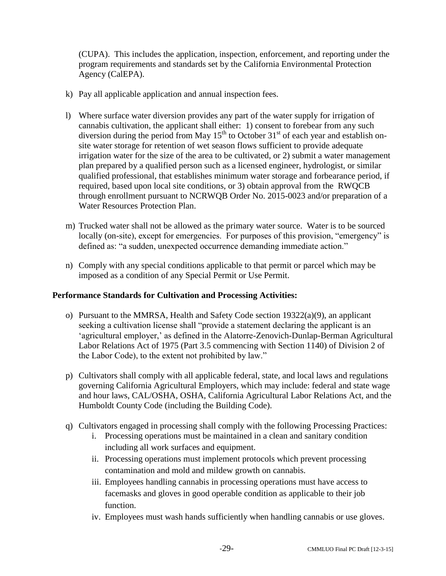(CUPA). This includes the application, inspection, enforcement, and reporting under the program requirements and standards set by the California Environmental Protection Agency (CalEPA).

- k) Pay all applicable application and annual inspection fees.
- l) Where surface water diversion provides any part of the water supply for irrigation of cannabis cultivation, the applicant shall either: 1) consent to forebear from any such diversion during the period from May  $15<sup>th</sup>$  to October  $31<sup>st</sup>$  of each year and establish onsite water storage for retention of wet season flows sufficient to provide adequate irrigation water for the size of the area to be cultivated, or 2) submit a water management plan prepared by a qualified person such as a licensed engineer, hydrologist, or similar qualified professional, that establishes minimum water storage and forbearance period, if required, based upon local site conditions, or 3) obtain approval from the RWQCB through enrollment pursuant to NCRWQB Order No. 2015-0023 and/or preparation of a Water Resources Protection Plan.
- m) Trucked water shall not be allowed as the primary water source. Water is to be sourced locally (on-site), except for emergencies. For purposes of this provision, "emergency" is defined as: "a sudden, unexpected occurrence demanding immediate action."
- n) Comply with any special conditions applicable to that permit or parcel which may be imposed as a condition of any Special Permit or Use Permit.

# **Performance Standards for Cultivation and Processing Activities:**

- o) Pursuant to the MMRSA, Health and Safety Code section  $19322(a)(9)$ , an applicant seeking a cultivation license shall "provide a statement declaring the applicant is an 'agricultural employer,' as defined in the Alatorre-Zenovich-Dunlap-Berman Agricultural Labor Relations Act of 1975 (Part 3.5 commencing with Section 1140) of Division 2 of the Labor Code), to the extent not prohibited by law."
- p) Cultivators shall comply with all applicable federal, state, and local laws and regulations governing California Agricultural Employers, which may include: federal and state wage and hour laws, CAL/OSHA, OSHA, California Agricultural Labor Relations Act, and the Humboldt County Code (including the Building Code).
- q) Cultivators engaged in processing shall comply with the following Processing Practices:
	- i. Processing operations must be maintained in a clean and sanitary condition including all work surfaces and equipment.
	- ii. Processing operations must implement protocols which prevent processing contamination and mold and mildew growth on cannabis.
	- iii. Employees handling cannabis in processing operations must have access to facemasks and gloves in good operable condition as applicable to their job function.
	- iv. Employees must wash hands sufficiently when handling cannabis or use gloves.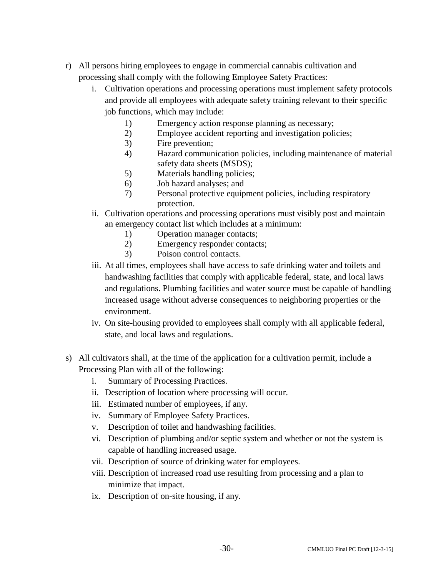- r) All persons hiring employees to engage in commercial cannabis cultivation and processing shall comply with the following Employee Safety Practices:
	- i. Cultivation operations and processing operations must implement safety protocols and provide all employees with adequate safety training relevant to their specific job functions, which may include:
		- 1) Emergency action response planning as necessary;
		- 2) Employee accident reporting and investigation policies;
		- 3) Fire prevention;
		- 4) Hazard communication policies, including maintenance of material safety data sheets (MSDS);
		- 5) Materials handling policies;
		- 6) Job hazard analyses; and
		- 7) Personal protective equipment policies, including respiratory protection.
	- ii. Cultivation operations and processing operations must visibly post and maintain an emergency contact list which includes at a minimum:
		- 1) Operation manager contacts;
		- 2) Emergency responder contacts;
		- 3) Poison control contacts.
	- iii. At all times, employees shall have access to safe drinking water and toilets and handwashing facilities that comply with applicable federal, state, and local laws and regulations. Plumbing facilities and water source must be capable of handling increased usage without adverse consequences to neighboring properties or the environment.
	- iv. On site-housing provided to employees shall comply with all applicable federal, state, and local laws and regulations.
- s) All cultivators shall, at the time of the application for a cultivation permit, include a Processing Plan with all of the following:
	- i. Summary of Processing Practices.
	- ii. Description of location where processing will occur.
	- iii. Estimated number of employees, if any.
	- iv. Summary of Employee Safety Practices.
	- v. Description of toilet and handwashing facilities.
	- vi. Description of plumbing and/or septic system and whether or not the system is capable of handling increased usage.
	- vii. Description of source of drinking water for employees.
	- viii. Description of increased road use resulting from processing and a plan to minimize that impact.
	- ix. Description of on-site housing, if any.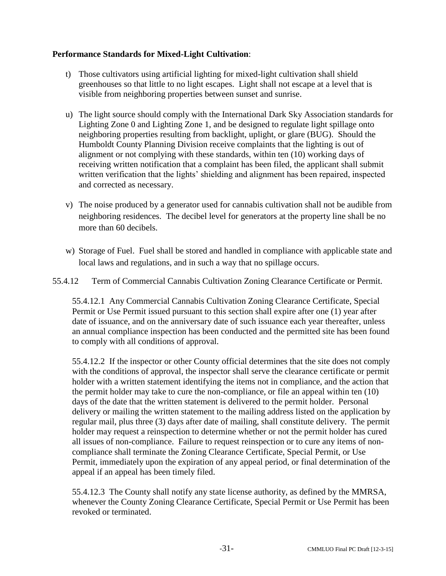# **Performance Standards for Mixed-Light Cultivation**:

- t) Those cultivators using artificial lighting for mixed-light cultivation shall shield greenhouses so that little to no light escapes. Light shall not escape at a level that is visible from neighboring properties between sunset and sunrise.
- u) The light source should comply with the International Dark Sky Association standards for Lighting Zone 0 and Lighting Zone 1, and be designed to regulate light spillage onto neighboring properties resulting from backlight, uplight, or glare (BUG). Should the Humboldt County Planning Division receive complaints that the lighting is out of alignment or not complying with these standards, within ten (10) working days of receiving written notification that a complaint has been filed, the applicant shall submit written verification that the lights' shielding and alignment has been repaired, inspected and corrected as necessary.
- v) The noise produced by a generator used for cannabis cultivation shall not be audible from neighboring residences. The decibel level for generators at the property line shall be no more than 60 decibels.
- w) Storage of Fuel. Fuel shall be stored and handled in compliance with applicable state and local laws and regulations, and in such a way that no spillage occurs.

# 55.4.12 Term of Commercial Cannabis Cultivation Zoning Clearance Certificate or Permit.

55.4.12.1 Any Commercial Cannabis Cultivation Zoning Clearance Certificate, Special Permit or Use Permit issued pursuant to this section shall expire after one (1) year after date of issuance, and on the anniversary date of such issuance each year thereafter, unless an annual compliance inspection has been conducted and the permitted site has been found to comply with all conditions of approval.

55.4.12.2 If the inspector or other County official determines that the site does not comply with the conditions of approval, the inspector shall serve the clearance certificate or permit holder with a written statement identifying the items not in compliance, and the action that the permit holder may take to cure the non-compliance, or file an appeal within ten (10) days of the date that the written statement is delivered to the permit holder. Personal delivery or mailing the written statement to the mailing address listed on the application by regular mail, plus three (3) days after date of mailing, shall constitute delivery. The permit holder may request a reinspection to determine whether or not the permit holder has cured all issues of non-compliance. Failure to request reinspection or to cure any items of noncompliance shall terminate the Zoning Clearance Certificate, Special Permit, or Use Permit, immediately upon the expiration of any appeal period, or final determination of the appeal if an appeal has been timely filed.

55.4.12.3 The County shall notify any state license authority, as defined by the MMRSA, whenever the County Zoning Clearance Certificate, Special Permit or Use Permit has been revoked or terminated.